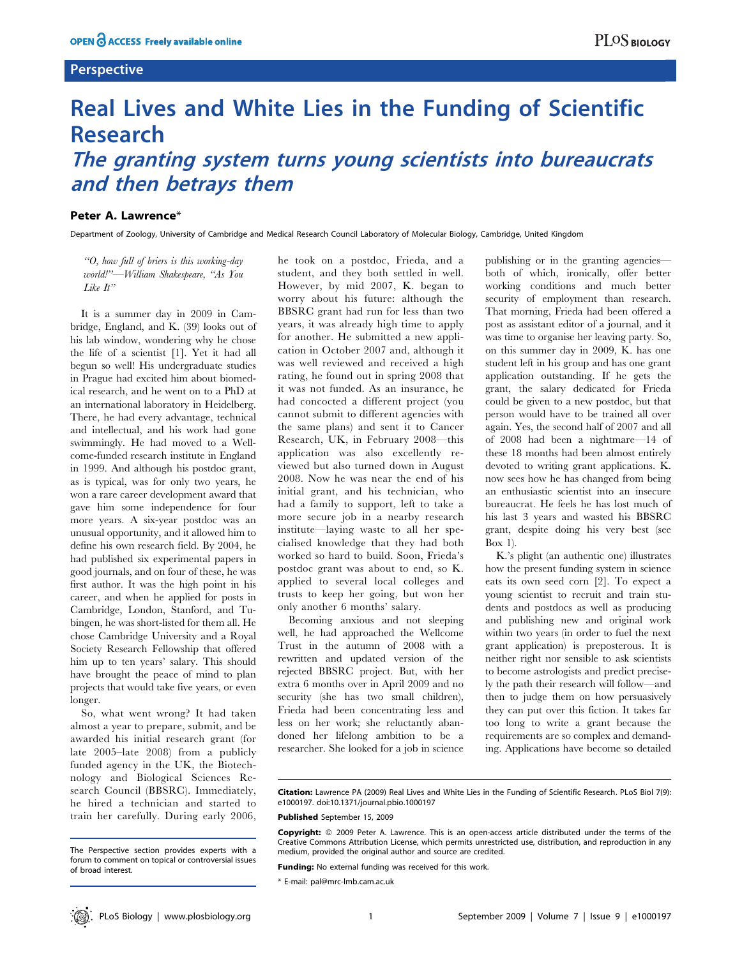#### **Perspective**

# Real Lives and White Lies in the Funding of Scientific Research

# The granting system turns young scientists into bureaucrats and then betrays them

#### Peter A. Lawrence\*

Department of Zoology, University of Cambridge and Medical Research Council Laboratory of Molecular Biology, Cambridge, United Kingdom

''O, how full of briers is this working-day world!''—William Shakespeare, ''As You Like  $H$ <sup>\*</sup>

It is a summer day in 2009 in Cambridge, England, and K. (39) looks out of his lab window, wondering why he chose the life of a scientist [1]. Yet it had all begun so well! His undergraduate studies in Prague had excited him about biomedical research, and he went on to a PhD at an international laboratory in Heidelberg. There, he had every advantage, technical and intellectual, and his work had gone swimmingly. He had moved to a Wellcome-funded research institute in England in 1999. And although his postdoc grant, as is typical, was for only two years, he won a rare career development award that gave him some independence for four more years. A six-year postdoc was an unusual opportunity, and it allowed him to define his own research field. By 2004, he had published six experimental papers in good journals, and on four of these, he was first author. It was the high point in his career, and when he applied for posts in Cambridge, London, Stanford, and Tubingen, he was short-listed for them all. He chose Cambridge University and a Royal Society Research Fellowship that offered him up to ten years' salary. This should have brought the peace of mind to plan projects that would take five years, or even longer.

So, what went wrong? It had taken almost a year to prepare, submit, and be awarded his initial research grant (for late 2005–late 2008) from a publicly funded agency in the UK, the Biotechnology and Biological Sciences Research Council (BBSRC). Immediately, he hired a technician and started to train her carefully. During early 2006, he took on a postdoc, Frieda, and a student, and they both settled in well. However, by mid 2007, K. began to worry about his future: although the BBSRC grant had run for less than two years, it was already high time to apply for another. He submitted a new application in October 2007 and, although it was well reviewed and received a high rating, he found out in spring 2008 that it was not funded. As an insurance, he had concocted a different project (you cannot submit to different agencies with the same plans) and sent it to Cancer Research, UK, in February 2008—this application was also excellently reviewed but also turned down in August 2008. Now he was near the end of his initial grant, and his technician, who had a family to support, left to take a more secure job in a nearby research institute—laying waste to all her specialised knowledge that they had both worked so hard to build. Soon, Frieda's postdoc grant was about to end, so K. applied to several local colleges and trusts to keep her going, but won her only another 6 months' salary.

Becoming anxious and not sleeping well, he had approached the Wellcome Trust in the autumn of 2008 with a rewritten and updated version of the rejected BBSRC project. But, with her extra 6 months over in April 2009 and no security (she has two small children), Frieda had been concentrating less and less on her work; she reluctantly abandoned her lifelong ambition to be a researcher. She looked for a job in science publishing or in the granting agencies both of which, ironically, offer better working conditions and much better security of employment than research. That morning, Frieda had been offered a post as assistant editor of a journal, and it was time to organise her leaving party. So, on this summer day in 2009, K. has one student left in his group and has one grant application outstanding. If he gets the grant, the salary dedicated for Frieda could be given to a new postdoc, but that person would have to be trained all over again. Yes, the second half of 2007 and all of 2008 had been a nightmare—14 of these 18 months had been almost entirely devoted to writing grant applications. K. now sees how he has changed from being an enthusiastic scientist into an insecure bureaucrat. He feels he has lost much of his last 3 years and wasted his BBSRC grant, despite doing his very best (see Box 1).

K.'s plight (an authentic one) illustrates how the present funding system in science eats its own seed corn [2]. To expect a young scientist to recruit and train students and postdocs as well as producing and publishing new and original work within two years (in order to fuel the next grant application) is preposterous. It is neither right nor sensible to ask scientists to become astrologists and predict precisely the path their research will follow—and then to judge them on how persuasively they can put over this fiction. It takes far too long to write a grant because the requirements are so complex and demanding. Applications have become so detailed

Citation: Lawrence PA (2009) Real Lives and White Lies in the Funding of Scientific Research. PLoS Biol 7(9): e1000197. doi:10.1371/journal.pbio.1000197

Published September 15, 2009

Copyright:  $\circ$  2009 Peter A. Lawrence. This is an open-access article distributed under the terms of the Creative Commons Attribution License, which permits unrestricted use, distribution, and reproduction in any medium, provided the original author and source are credited.

Funding: No external funding was received for this work.

\* E-mail: pal@mrc-lmb.cam.ac.uk

The Perspective section provides experts with a forum to comment on topical or controversial issues of broad interest.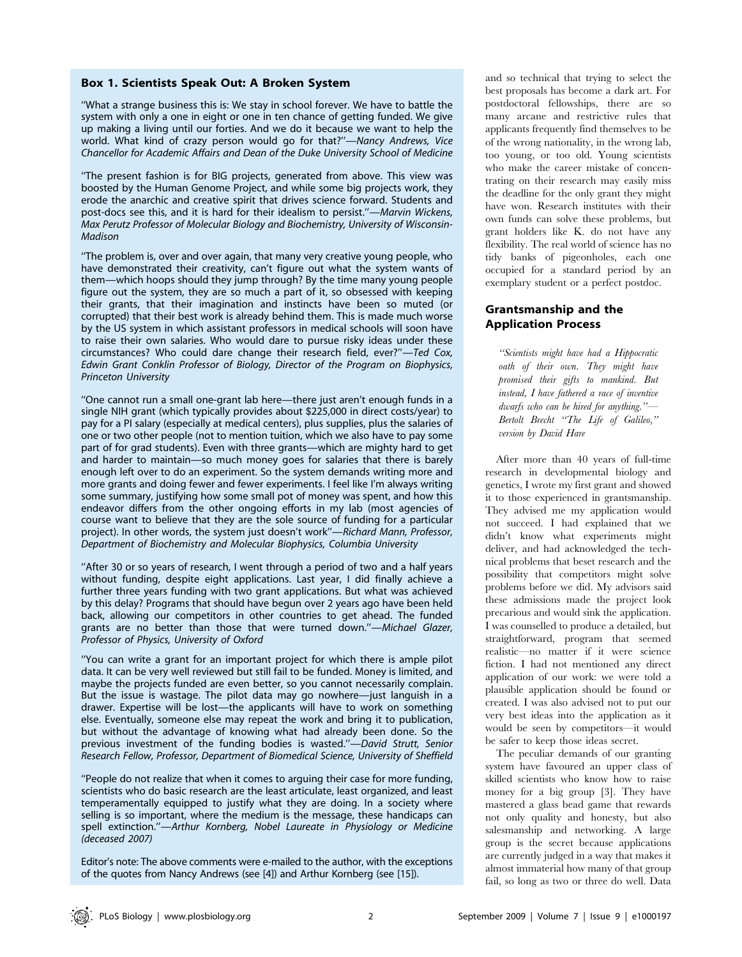### Box 1. Scientists Speak Out: A Broken System

''What a strange business this is: We stay in school forever. We have to battle the system with only a one in eight or one in ten chance of getting funded. We give up making a living until our forties. And we do it because we want to help the world. What kind of crazy person would go for that?''—Nancy Andrews, Vice Chancellor for Academic Affairs and Dean of the Duke University School of Medicine

''The present fashion is for BIG projects, generated from above. This view was boosted by the Human Genome Project, and while some big projects work, they erode the anarchic and creative spirit that drives science forward. Students and post-docs see this, and it is hard for their idealism to persist.''—Marvin Wickens, Max Perutz Professor of Molecular Biology and Biochemistry, University of Wisconsin-Madison

''The problem is, over and over again, that many very creative young people, who have demonstrated their creativity, can't figure out what the system wants of them—which hoops should they jump through? By the time many young people figure out the system, they are so much a part of it, so obsessed with keeping their grants, that their imagination and instincts have been so muted (or corrupted) that their best work is already behind them. This is made much worse by the US system in which assistant professors in medical schools will soon have to raise their own salaries. Who would dare to pursue risky ideas under these circumstances? Who could dare change their research field, ever?''—Ted Cox, Edwin Grant Conklin Professor of Biology, Director of the Program on Biophysics, Princeton University

''One cannot run a small one-grant lab here—there just aren't enough funds in a single NIH grant (which typically provides about \$225,000 in direct costs/year) to pay for a PI salary (especially at medical centers), plus supplies, plus the salaries of one or two other people (not to mention tuition, which we also have to pay some part of for grad students). Even with three grants—which are mighty hard to get and harder to maintain—so much money goes for salaries that there is barely enough left over to do an experiment. So the system demands writing more and more grants and doing fewer and fewer experiments. I feel like I'm always writing some summary, justifying how some small pot of money was spent, and how this endeavor differs from the other ongoing efforts in my lab (most agencies of course want to believe that they are the sole source of funding for a particular project). In other words, the system just doesn't work"—Richard Mann, Professor, Department of Biochemistry and Molecular Biophysics, Columbia University

"After 30 or so years of research, I went through a period of two and a half years without funding, despite eight applications. Last year, I did finally achieve a further three years funding with two grant applications. But what was achieved by this delay? Programs that should have begun over 2 years ago have been held back, allowing our competitors in other countries to get ahead. The funded grants are no better than those that were turned down."-Michael Glazer, Professor of Physics, University of Oxford

''You can write a grant for an important project for which there is ample pilot data. It can be very well reviewed but still fail to be funded. Money is limited, and maybe the projects funded are even better, so you cannot necessarily complain. But the issue is wastage. The pilot data may go nowhere—just languish in a drawer. Expertise will be lost—the applicants will have to work on something else. Eventually, someone else may repeat the work and bring it to publication, but without the advantage of knowing what had already been done. So the previous investment of the funding bodies is wasted.''—David Strutt, Senior Research Fellow, Professor, Department of Biomedical Science, University of Sheffield

''People do not realize that when it comes to arguing their case for more funding, scientists who do basic research are the least articulate, least organized, and least temperamentally equipped to justify what they are doing. In a society where selling is so important, where the medium is the message, these handicaps can spell extinction.''—Arthur Kornberg, Nobel Laureate in Physiology or Medicine (deceased 2007)

Editor's note: The above comments were e-mailed to the author, with the exceptions of the quotes from Nancy Andrews (see [4]) and Arthur Kornberg (see [15]).

and so technical that trying to select the best proposals has become a dark art. For postdoctoral fellowships, there are so many arcane and restrictive rules that applicants frequently find themselves to be of the wrong nationality, in the wrong lab, too young, or too old. Young scientists who make the career mistake of concentrating on their research may easily miss the deadline for the only grant they might have won. Research institutes with their own funds can solve these problems, but grant holders like K. do not have any flexibility. The real world of science has no tidy banks of pigeonholes, each one occupied for a standard period by an exemplary student or a perfect postdoc.

## Grantsmanship and the Application Process

''Scientists might have had a Hippocratic oath of their own. They might have promised their gifts to mankind. But instead, I have fathered a race of inventive dwarfs who can be hired for anything.''— Bertolt Brecht ''The Life of Galileo,'' version by David Hare

After more than 40 years of full-time research in developmental biology and genetics, I wrote my first grant and showed it to those experienced in grantsmanship. They advised me my application would not succeed. I had explained that we didn't know what experiments might deliver, and had acknowledged the technical problems that beset research and the possibility that competitors might solve problems before we did. My advisors said these admissions made the project look precarious and would sink the application. I was counselled to produce a detailed, but straightforward, program that seemed realistic—no matter if it were science fiction. I had not mentioned any direct application of our work: we were told a plausible application should be found or created. I was also advised not to put our very best ideas into the application as it would be seen by competitors—it would be safer to keep those ideas secret.

The peculiar demands of our granting system have favoured an upper class of skilled scientists who know how to raise money for a big group [3]. They have mastered a glass bead game that rewards not only quality and honesty, but also salesmanship and networking. A large group is the secret because applications are currently judged in a way that makes it almost immaterial how many of that group fail, so long as two or three do well. Data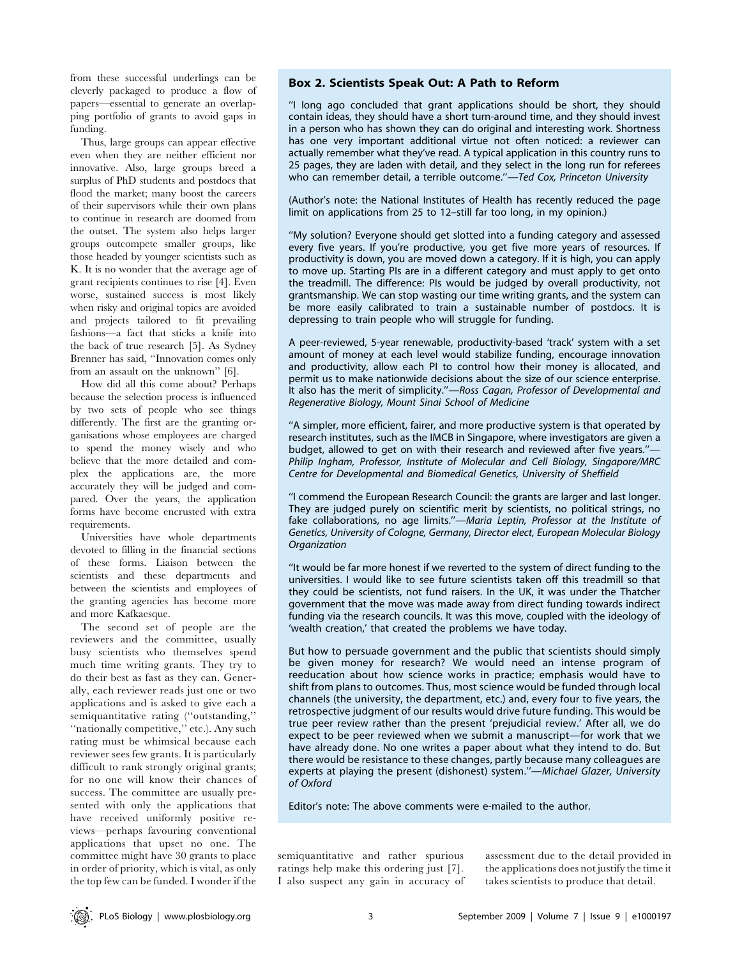from these successful underlings can be cleverly packaged to produce a flow of papers—essential to generate an overlapping portfolio of grants to avoid gaps in funding.

Thus, large groups can appear effective even when they are neither efficient nor innovative. Also, large groups breed a surplus of PhD students and postdocs that flood the market; many boost the careers of their supervisors while their own plans to continue in research are doomed from the outset. The system also helps larger groups outcompete smaller groups, like those headed by younger scientists such as K. It is no wonder that the average age of grant recipients continues to rise [4]. Even worse, sustained success is most likely when risky and original topics are avoided and projects tailored to fit prevailing fashions—a fact that sticks a knife into the back of true research [5]. As Sydney Brenner has said, ''Innovation comes only from an assault on the unknown'' [6].

How did all this come about? Perhaps because the selection process is influenced by two sets of people who see things differently. The first are the granting organisations whose employees are charged to spend the money wisely and who believe that the more detailed and complex the applications are, the more accurately they will be judged and compared. Over the years, the application forms have become encrusted with extra requirements.

Universities have whole departments devoted to filling in the financial sections of these forms. Liaison between the scientists and these departments and between the scientists and employees of the granting agencies has become more and more Kafkaesque.

The second set of people are the reviewers and the committee, usually busy scientists who themselves spend much time writing grants. They try to do their best as fast as they can. Generally, each reviewer reads just one or two applications and is asked to give each a semiquantitative rating ("outstanding," ''nationally competitive,'' etc.). Any such rating must be whimsical because each reviewer sees few grants. It is particularly difficult to rank strongly original grants; for no one will know their chances of success. The committee are usually presented with only the applications that have received uniformly positive reviews—perhaps favouring conventional applications that upset no one. The committee might have 30 grants to place in order of priority, which is vital, as only the top few can be funded. I wonder if the

### Box 2. Scientists Speak Out: A Path to Reform

''I long ago concluded that grant applications should be short, they should contain ideas, they should have a short turn-around time, and they should invest in a person who has shown they can do original and interesting work. Shortness has one very important additional virtue not often noticed: a reviewer can actually remember what they've read. A typical application in this country runs to 25 pages, they are laden with detail, and they select in the long run for referees who can remember detail, a terrible outcome."-Ted Cox, Princeton University

(Author's note: the National Institutes of Health has recently reduced the page limit on applications from 25 to 12–still far too long, in my opinion.)

''My solution? Everyone should get slotted into a funding category and assessed every five years. If you're productive, you get five more years of resources. If productivity is down, you are moved down a category. If it is high, you can apply to move up. Starting PIs are in a different category and must apply to get onto the treadmill. The difference: PIs would be judged by overall productivity, not grantsmanship. We can stop wasting our time writing grants, and the system can be more easily calibrated to train a sustainable number of postdocs. It is depressing to train people who will struggle for funding.

A peer-reviewed, 5-year renewable, productivity-based 'track' system with a set amount of money at each level would stabilize funding, encourage innovation and productivity, allow each PI to control how their money is allocated, and permit us to make nationwide decisions about the size of our science enterprise. It also has the merit of simplicity.''—Ross Cagan, Professor of Developmental and Regenerative Biology, Mount Sinai School of Medicine

''A simpler, more efficient, fairer, and more productive system is that operated by research institutes, such as the IMCB in Singapore, where investigators are given a budget, allowed to get on with their research and reviewed after five years."-Philip Ingham, Professor, Institute of Molecular and Cell Biology, Singapore/MRC Centre for Developmental and Biomedical Genetics, University of Sheffield

''I commend the European Research Council: the grants are larger and last longer. They are judged purely on scientific merit by scientists, no political strings, no fake collaborations, no age limits.''—Maria Leptin, Professor at the Institute of Genetics, University of Cologne, Germany, Director elect, European Molecular Biology **Organization** 

''It would be far more honest if we reverted to the system of direct funding to the universities. I would like to see future scientists taken off this treadmill so that they could be scientists, not fund raisers. In the UK, it was under the Thatcher government that the move was made away from direct funding towards indirect funding via the research councils. It was this move, coupled with the ideology of 'wealth creation,' that created the problems we have today.

But how to persuade government and the public that scientists should simply be given money for research? We would need an intense program of reeducation about how science works in practice; emphasis would have to shift from plans to outcomes. Thus, most science would be funded through local channels (the university, the department, etc.) and, every four to five years, the retrospective judgment of our results would drive future funding. This would be true peer review rather than the present 'prejudicial review.' After all, we do expect to be peer reviewed when we submit a manuscript—for work that we have already done. No one writes a paper about what they intend to do. But there would be resistance to these changes, partly because many colleagues are experts at playing the present (dishonest) system."—Michael Glazer, University of Oxford

Editor's note: The above comments were e-mailed to the author.

semiquantitative and rather spurious ratings help make this ordering just [7]. I also suspect any gain in accuracy of assessment due to the detail provided in the applications does not justify the time it takes scientists to produce that detail.